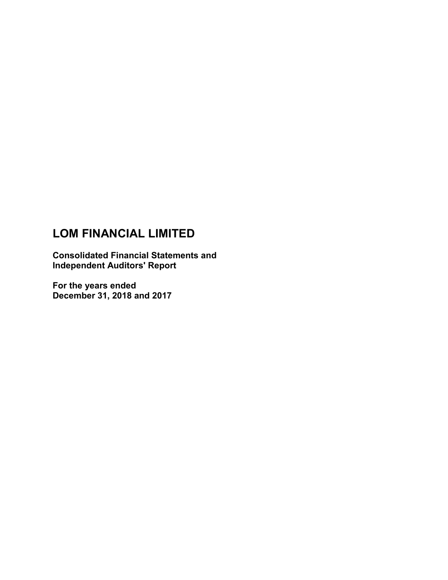# **LOM FINANCIAL LIMITED**

**Consolidated Financial Statements and Independent Auditors' Report**

**For the years ended December 31, 2018 and 2017**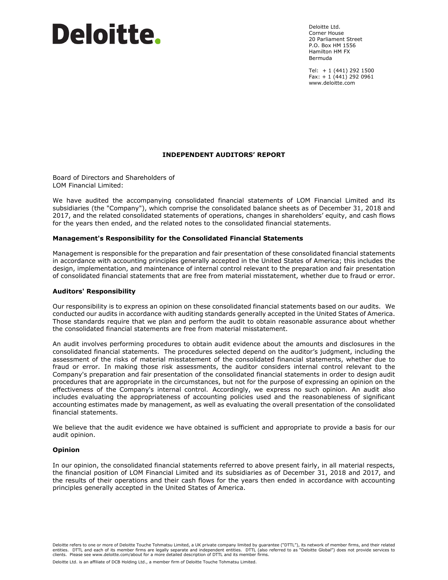# Deloitte.

Deloitte Ltd. Corner House 20 Parliament Street P.O. Box HM 1556 Hamilton HM FX Bermuda

Tel: + 1 (441) 292 1500 Fax: + 1 (441) 292 0961 www.deloitte.com

#### **INDEPENDENT AUDITORS' REPORT**

Board of Directors and Shareholders of LOM Financial Limited:

We have audited the accompanying consolidated financial statements of LOM Financial Limited and its subsidiaries (the "Company"), which comprise the consolidated balance sheets as of December 31, 2018 and 2017, and the related consolidated statements of operations, changes in shareholders' equity, and cash flows for the years then ended, and the related notes to the consolidated financial statements.

#### **Management's Responsibility for the Consolidated Financial Statements**

Management is responsible for the preparation and fair presentation of these consolidated financial statements in accordance with accounting principles generally accepted in the United States of America; this includes the design, implementation, and maintenance of internal control relevant to the preparation and fair presentation of consolidated financial statements that are free from material misstatement, whether due to fraud or error.

#### **Auditors' Responsibility**

Our responsibility is to express an opinion on these consolidated financial statements based on our audits. We conducted our audits in accordance with auditing standards generally accepted in the United States of America. Those standards require that we plan and perform the audit to obtain reasonable assurance about whether the consolidated financial statements are free from material misstatement.

An audit involves performing procedures to obtain audit evidence about the amounts and disclosures in the consolidated financial statements. The procedures selected depend on the auditor's judgment, including the assessment of the risks of material misstatement of the consolidated financial statements, whether due to fraud or error. In making those risk assessments, the auditor considers internal control relevant to the Company's preparation and fair presentation of the consolidated financial statements in order to design audit procedures that are appropriate in the circumstances, but not for the purpose of expressing an opinion on the effectiveness of the Company's internal control. Accordingly, we express no such opinion. An audit also includes evaluating the appropriateness of accounting policies used and the reasonableness of significant accounting estimates made by management, as well as evaluating the overall presentation of the consolidated financial statements.

We believe that the audit evidence we have obtained is sufficient and appropriate to provide a basis for our audit opinion.

#### **Opinion**

In our opinion, the consolidated financial statements referred to above present fairly, in all material respects, the financial position of LOM Financial Limited and its subsidiaries as of December 31, 2018 and 2017, and the results of their operations and their cash flows for the years then ended in accordance with accounting principles generally accepted in the United States of America.

Deloitte refers to one or more of Deloitte Touche Tohmatsu Limited, a UK private company limited by guarantee ("DTTL"), its network of member firms, and their related entities. DTTL and each of its member firms are legally separate and independent entities. DTTL (also referred to as "Deloitte Global") does not provide services to<br>clients. Please se[e www.deloitte.com/about](http://www.deloitte.com/about) for a more d

Deloitte Ltd. is an affiliate of DCB Holding Ltd., a member firm of Deloitte Touche Tohmatsu Limited.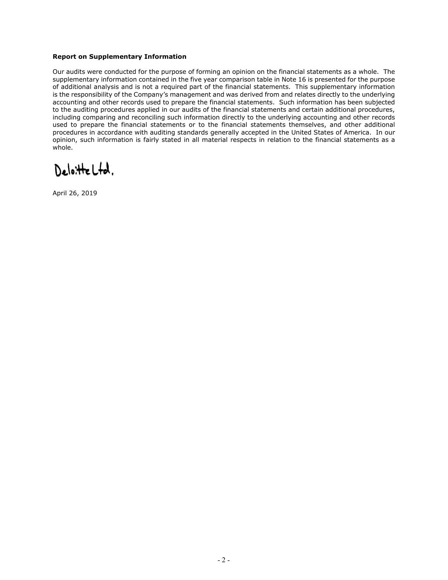#### **Report on Supplementary Information**

Our audits were conducted for the purpose of forming an opinion on the financial statements as a whole. The supplementary information contained in the five year comparison table in Note 16 is presented for the purpose of additional analysis and is not a required part of the financial statements. This supplementary information is the responsibility of the Company's management and was derived from and relates directly to the underlying accounting and other records used to prepare the financial statements. Such information has been subjected to the auditing procedures applied in our audits of the financial statements and certain additional procedures, including comparing and reconciling such information directly to the underlying accounting and other records used to prepare the financial statements or to the financial statements themselves, and other additional procedures in accordance with auditing standards generally accepted in the United States of America. In our opinion, such information is fairly stated in all material respects in relation to the financial statements as a whole.

Deloitte Lfd.

April 26, 2019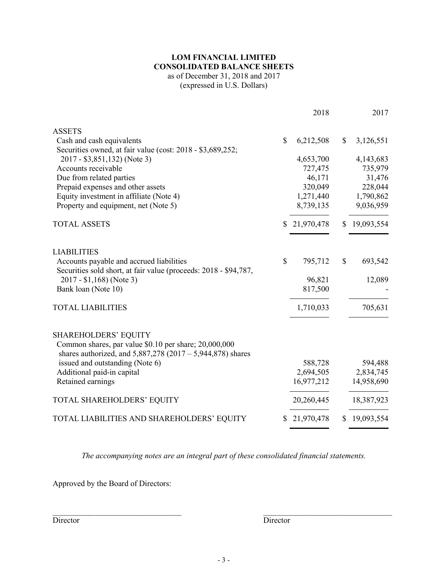# **LOM FINANCIAL LIMITED CONSOLIDATED BALANCE SHEETS** as of December 31, 2018 and 2017 (expressed in U.S. Dollars)

|                                                                                                                          |              | 2018         |               | 2017       |
|--------------------------------------------------------------------------------------------------------------------------|--------------|--------------|---------------|------------|
| <b>ASSETS</b>                                                                                                            |              |              |               |            |
| Cash and cash equivalents<br>Securities owned, at fair value (cost: 2018 - \$3,689,252;                                  | \$           | 6,212,508    | $\mathbb{S}$  | 3,126,551  |
| 2017 - \$3,851,132) (Note 3)                                                                                             |              | 4,653,700    |               | 4,143,683  |
| Accounts receivable                                                                                                      |              | 727,475      |               | 735,979    |
| Due from related parties                                                                                                 |              | 46,171       |               | 31,476     |
| Prepaid expenses and other assets                                                                                        |              | 320,049      |               | 228,044    |
| Equity investment in affiliate (Note 4)                                                                                  |              | 1,271,440    |               | 1,790,862  |
| Property and equipment, net (Note 5)                                                                                     |              | 8,739,135    |               | 9,036,959  |
| <b>TOTAL ASSETS</b>                                                                                                      |              | \$21,970,478 | <sup>\$</sup> | 19,093,554 |
| <b>LIABILITIES</b>                                                                                                       |              |              |               |            |
| Accounts payable and accrued liabilities<br>Securities sold short, at fair value (proceeds: 2018 - \$94,787,             | $\mathbb{S}$ | 795,712      | \$            | 693,542    |
| 2017 - \$1,168) (Note 3)                                                                                                 |              | 96,821       |               | 12,089     |
| Bank loan (Note 10)                                                                                                      |              | 817,500      |               |            |
| <b>TOTAL LIABILITIES</b>                                                                                                 |              | 1,710,033    |               | 705,631    |
| <b>SHAREHOLDERS' EQUITY</b>                                                                                              |              |              |               |            |
| Common shares, par value \$0.10 per share; 20,000,000<br>shares authorized, and $5,887,278$ (2017 – $5,944,878$ ) shares |              |              |               |            |
| issued and outstanding (Note 6)                                                                                          |              | 588,728      |               | 594,488    |
| Additional paid-in capital                                                                                               |              | 2,694,505    |               | 2,834,745  |
| Retained earnings                                                                                                        |              | 16,977,212   |               | 14,958,690 |
| TOTAL SHAREHOLDERS' EQUITY                                                                                               |              | 20,260,445   |               | 18,387,923 |
| TOTAL LIABILITIES AND SHAREHOLDERS' EQUITY                                                                               | S.           | 21,970,478   | S.            | 19,093,554 |

*The accompanying notes are an integral part of these consolidated financial statements.*

Approved by the Board of Directors:

Director Director Director

 $\overline{\phantom{a}}$  , and the contract of the contract of the contract of the contract of the contract of the contract of the contract of the contract of the contract of the contract of the contract of the contract of the contrac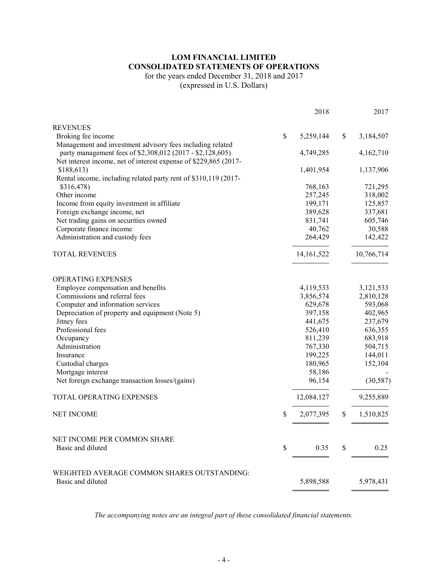# **LOM FINANCIAL LIMITED CONSOLIDATED STATEMENTS OF OPERATIONS**

for the years ended December 31, 2018 and 2017

(expressed in U.S. Dollars)

|                                                                  | 2018            | 2017            |
|------------------------------------------------------------------|-----------------|-----------------|
| <b>REVENUES</b>                                                  |                 |                 |
| Broking fee income                                               | \$<br>5,259,144 | \$<br>3,184,507 |
| Management and investment advisory fees including related        |                 |                 |
| party management fees of \$2,308,012 (2017 - \$2,128,605)        | 4,749,285       | 4,162,710       |
| Net interest income, net of interest expense of \$229,865 (2017- |                 |                 |
| \$188,613)                                                       | 1,401,954       | 1,137,906       |
| Rental income, including related party rent of \$310,119 (2017-  |                 |                 |
| \$316,478)                                                       | 768,163         | 721,295         |
| Other income                                                     | 257,245         | 318,002         |
| Income from equity investment in affiliate                       | 199,171         | 125,857         |
| Foreign exchange income, net                                     | 389,628         | 337,681         |
| Net trading gains on securities owned                            | 831,741         | 605,746         |
| Corporate finance income                                         | 40,762          | 30,588          |
| Administration and custody fees                                  | 264,429         | 142,422         |
| <b>TOTAL REVENUES</b>                                            | 14,161,522      | 10,766,714      |
| <b>OPERATING EXPENSES</b>                                        |                 |                 |
| Employee compensation and benefits                               | 4,119,533       | 3,121,533       |
| Commissions and referral fees                                    | 3,856,574       | 2,810,128       |
| Computer and information services                                | 629,678         | 593,068         |
| Depreciation of property and equipment (Note 5)                  | 397,158         | 402,965         |
| Jitney fees                                                      | 441,675         | 237,679         |
| Professional fees                                                | 526,410         | 636,355         |
|                                                                  | 811,239         | 683,918         |
| Occupancy                                                        |                 |                 |
| Administration                                                   | 767,330         | 504,715         |
| Insurance                                                        | 199,225         | 144,011         |
| Custodial charges                                                | 180,965         | 152,104         |
| Mortgage interest                                                | 58,186          |                 |
| Net foreign exchange transaction losses/(gains)                  | 96,154          | (30, 587)       |
| TOTAL OPERATING EXPENSES                                         | 12,084,127      | 9,255,889       |
| <b>NET INCOME</b>                                                | \$<br>2,077,395 | \$<br>1,510,825 |
|                                                                  |                 |                 |
| NET INCOME PER COMMON SHARE                                      |                 |                 |
| Basic and diluted                                                | \$<br>0.35      | \$<br>0.25      |
| WEIGHTED AVERAGE COMMON SHARES OUTSTANDING:                      |                 |                 |
| Basic and diluted                                                | 5,898,588       | 5,978,431       |

*The accompanying notes are an integral part of these consolidated financial statements.*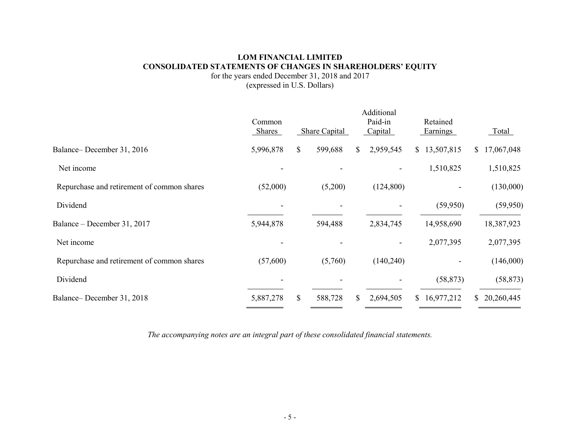# **LOM FINANCIAL LIMITED CONSOLIDATED STATEMENTS OF CHANGES IN SHAREHOLDERS' EQUITY**

for the years ended December 31, 2018 and 2017 (expressed in U.S. Dollars)

|                                            | Common<br>Shares |    | <b>Share Capital</b> | Additional<br>Paid-in<br>Capital |           | Retained<br><b>Earnings</b> | <b>Total</b>     |
|--------------------------------------------|------------------|----|----------------------|----------------------------------|-----------|-----------------------------|------------------|
| Balance–December 31, 2016                  | 5,996,878        | \$ | 599,688              | \$                               | 2,959,545 | \$13,507,815                | 17,067,048<br>S. |
| Net income                                 |                  |    |                      |                                  |           | 1,510,825                   | 1,510,825        |
| Repurchase and retirement of common shares | (52,000)         |    | (5,200)              |                                  | (124,800) |                             | (130,000)        |
| Dividend                                   |                  |    |                      |                                  |           | (59,950)                    | (59,950)         |
| Balance – December 31, 2017                | 5,944,878        |    | 594,488              |                                  | 2,834,745 | 14,958,690                  | 18,387,923       |
| Net income                                 |                  |    |                      |                                  |           | 2,077,395                   | 2,077,395        |
| Repurchase and retirement of common shares | (57,600)         |    | (5,760)              |                                  | (140,240) |                             | (146,000)        |
| Dividend                                   |                  |    |                      |                                  |           | (58, 873)                   | (58, 873)        |
| Balance-December 31, 2018                  | 5,887,278        | \$ | 588,728              | \$                               | 2,694,505 | 16,977,212<br>S.            | 20,260,445<br>S. |

*The accompanying notes are an integral part of these consolidated financial statements.*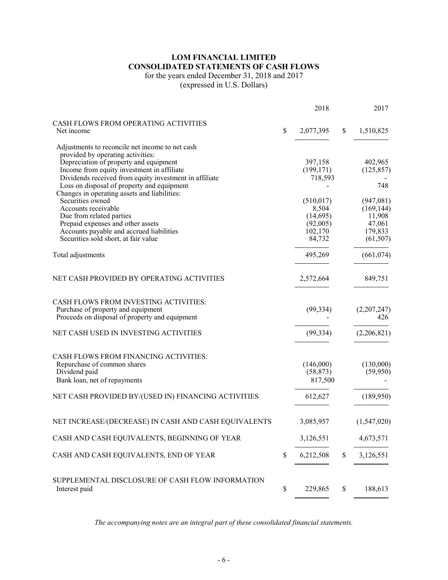# **LOM FINANCIAL LIMITED CONSOLIDATED STATEMENTS OF CASH FLOWS**

# for the years ended December 31, 2018 and 2017

(expressed in U.S. Dollars)

|                                                                                      |      | 2018       | 2017            |
|--------------------------------------------------------------------------------------|------|------------|-----------------|
| CASH FLOWS FROM OPERATING ACTIVITIES<br>Net income                                   | \$   | 2,077,395  | \$<br>1,510,825 |
|                                                                                      |      |            |                 |
| Adjustments to reconcile net income to net cash<br>provided by operating activities: |      |            |                 |
| Depreciation of property and equipment                                               |      | 397,158    | 402,965         |
| Income from equity investment in affiliate                                           |      | (199, 171) | (125, 857)      |
| Dividends received from equity investment in affiliate                               |      | 718,593    |                 |
| Loss on disposal of property and equipment                                           |      |            | 748             |
| Changes in operating assets and liabilities:                                         |      |            |                 |
| Securities owned                                                                     |      | (510, 017) | (947,081)       |
| Accounts receivable                                                                  |      | 8,504      | (169, 144)      |
| Due from related parties                                                             |      | (14,695)   | 11,908          |
| Prepaid expenses and other assets                                                    |      | (92,005)   | 47,061          |
| Accounts payable and accrued liabilities                                             |      | 102,170    | 179,833         |
| Securities sold short, at fair value                                                 |      | 84,732     | (61, 507)       |
| Total adjustments                                                                    |      | 495,269    | (661, 074)      |
| NET CASH PROVIDED BY OPERATING ACTIVITIES                                            |      | 2,572,664  | 849,751         |
|                                                                                      |      |            |                 |
| CASH FLOWS FROM INVESTING ACTIVITIES:                                                |      |            |                 |
| Purchase of property and equipment                                                   |      | (99, 334)  | (2,207,247)     |
| Proceeds on disposal of property and equipment                                       |      |            | 426             |
| NET CASH USED IN INVESTING ACTIVITIES                                                |      | (99, 334)  | (2,206,821)     |
| CASH FLOWS FROM FINANCING ACTIVITIES:                                                |      |            |                 |
| Repurchase of common shares                                                          |      | (146,000)  | (130,000)       |
| Dividend paid                                                                        |      | (58, 873)  | (59,950)        |
| Bank loan, net of repayments                                                         |      | 817,500    |                 |
| NET CASH PROVIDED BY/(USED IN) FINANCING ACTIVITIES                                  |      | 612,627    | (189,950)       |
|                                                                                      |      |            |                 |
| NET INCREASE/(DECREASE) IN CASH AND CASH EQUIVALENTS                                 |      | 3,085,957  | (1,547,020)     |
| CASH AND CASH EQUIVALENTS, BEGINNING OF YEAR                                         |      | 3,126,551  | 4,673,571       |
| CASH AND CASH EQUIVALENTS, END OF YEAR                                               | \$   | 6,212,508  | \$<br>3,126,551 |
|                                                                                      |      |            |                 |
| SUPPLEMENTAL DISCLOSURE OF CASH FLOW INFORMATION                                     |      |            |                 |
| Interest paid                                                                        | $\$$ | 229,865    | \$<br>188,613   |

*The accompanying notes are an integral part of these consolidated financial statements.*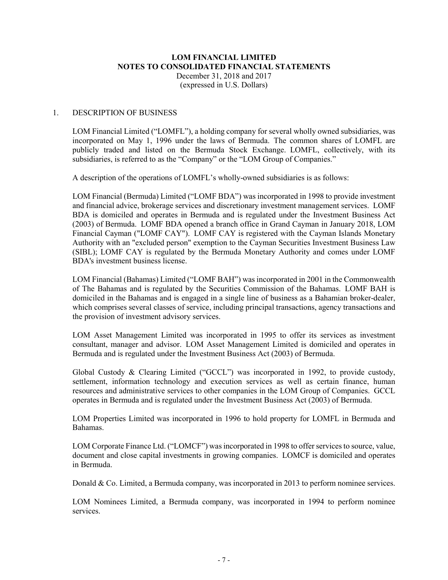#### 1. DESCRIPTION OF BUSINESS

LOM Financial Limited ("LOMFL"), a holding company for several wholly owned subsidiaries, was incorporated on May 1, 1996 under the laws of Bermuda. The common shares of LOMFL are publicly traded and listed on the Bermuda Stock Exchange. LOMFL, collectively, with its subsidiaries, is referred to as the "Company" or the "LOM Group of Companies."

A description of the operations of LOMFL's wholly-owned subsidiaries is as follows:

LOM Financial (Bermuda) Limited ("LOMF BDA") was incorporated in 1998 to provide investment and financial advice, brokerage services and discretionary investment management services. LOMF BDA is domiciled and operates in Bermuda and is regulated under the Investment Business Act (2003) of Bermuda. LOMF BDA opened a branch office in Grand Cayman in January 2018, LOM Financial Cayman ("LOMF CAY"). LOMF CAY is registered with the Cayman Islands Monetary Authority with an "excluded person" exemption to the Cayman Securities Investment Business Law (SIBL); LOMF CAY is regulated by the Bermuda Monetary Authority and comes under LOMF BDA's investment business license.

LOM Financial (Bahamas) Limited ("LOMF BAH") was incorporated in 2001 in the Commonwealth of The Bahamas and is regulated by the Securities Commission of the Bahamas. LOMF BAH is domiciled in the Bahamas and is engaged in a single line of business as a Bahamian broker-dealer, which comprises several classes of service, including principal transactions, agency transactions and the provision of investment advisory services.

LOM Asset Management Limited was incorporated in 1995 to offer its services as investment consultant, manager and advisor. LOM Asset Management Limited is domiciled and operates in Bermuda and is regulated under the Investment Business Act (2003) of Bermuda.

Global Custody & Clearing Limited ("GCCL") was incorporated in 1992, to provide custody, settlement, information technology and execution services as well as certain finance, human resources and administrative services to other companies in the LOM Group of Companies. GCCL operates in Bermuda and is regulated under the Investment Business Act (2003) of Bermuda.

LOM Properties Limited was incorporated in 1996 to hold property for LOMFL in Bermuda and Bahamas.

LOM Corporate Finance Ltd. ("LOMCF") was incorporated in 1998 to offer services to source, value, document and close capital investments in growing companies. LOMCF is domiciled and operates in Bermuda.

Donald & Co. Limited, a Bermuda company, was incorporated in 2013 to perform nominee services.

LOM Nominees Limited, a Bermuda company, was incorporated in 1994 to perform nominee services.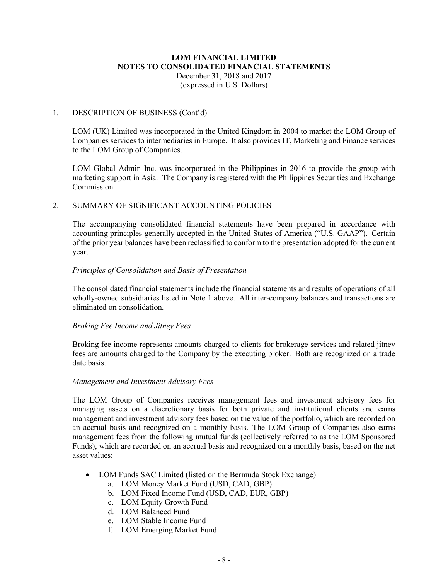# 1. DESCRIPTION OF BUSINESS (Cont'd)

LOM (UK) Limited was incorporated in the United Kingdom in 2004 to market the LOM Group of Companies services to intermediaries in Europe. It also provides IT, Marketing and Finance services to the LOM Group of Companies.

LOM Global Admin Inc. was incorporated in the Philippines in 2016 to provide the group with marketing support in Asia. The Company is registered with the Philippines Securities and Exchange Commission.

# 2. SUMMARY OF SIGNIFICANT ACCOUNTING POLICIES

The accompanying consolidated financial statements have been prepared in accordance with accounting principles generally accepted in the United States of America ("U.S. GAAP"). Certain of the prior year balances have been reclassified to conform to the presentation adopted for the current year.

#### *Principles of Consolidation and Basis of Presentation*

The consolidated financial statements include the financial statements and results of operations of all wholly-owned subsidiaries listed in Note 1 above. All inter-company balances and transactions are eliminated on consolidation.

# *Broking Fee Income and Jitney Fees*

Broking fee income represents amounts charged to clients for brokerage services and related jitney fees are amounts charged to the Company by the executing broker. Both are recognized on a trade date basis.

# *Management and Investment Advisory Fees*

The LOM Group of Companies receives management fees and investment advisory fees for managing assets on a discretionary basis for both private and institutional clients and earns management and investment advisory fees based on the value of the portfolio, which are recorded on an accrual basis and recognized on a monthly basis. The LOM Group of Companies also earns management fees from the following mutual funds (collectively referred to as the LOM Sponsored Funds), which are recorded on an accrual basis and recognized on a monthly basis, based on the net asset values:

- LOM Funds SAC Limited (listed on the Bermuda Stock Exchange)
	- a. LOM Money Market Fund (USD, CAD, GBP)
	- b. LOM Fixed Income Fund (USD, CAD, EUR, GBP)
	- c. LOM Equity Growth Fund
	- d. LOM Balanced Fund
	- e. LOM Stable Income Fund
	- f. LOM Emerging Market Fund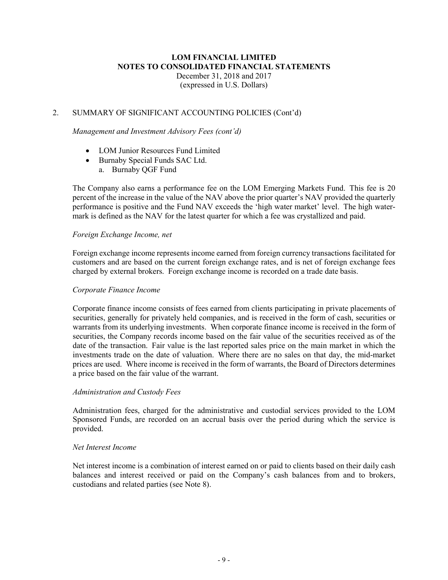# 2. SUMMARY OF SIGNIFICANT ACCOUNTING POLICIES (Cont'd)

*Management and Investment Advisory Fees (cont'd)*

- LOM Junior Resources Fund Limited
- Burnaby Special Funds SAC Ltd.
	- a. Burnaby QGF Fund

The Company also earns a performance fee on the LOM Emerging Markets Fund. This fee is 20 percent of the increase in the value of the NAV above the prior quarter's NAV provided the quarterly performance is positive and the Fund NAV exceeds the 'high water market' level. The high watermark is defined as the NAV for the latest quarter for which a fee was crystallized and paid.

# *Foreign Exchange Income, net*

Foreign exchange income represents income earned from foreign currency transactions facilitated for customers and are based on the current foreign exchange rates, and is net of foreign exchange fees charged by external brokers. Foreign exchange income is recorded on a trade date basis.

# *Corporate Finance Income*

Corporate finance income consists of fees earned from clients participating in private placements of securities, generally for privately held companies, and is received in the form of cash, securities or warrants from its underlying investments. When corporate finance income is received in the form of securities, the Company records income based on the fair value of the securities received as of the date of the transaction. Fair value is the last reported sales price on the main market in which the investments trade on the date of valuation. Where there are no sales on that day, the mid-market prices are used. Where income is received in the form of warrants, the Board of Directors determines a price based on the fair value of the warrant.

# *Administration and Custody Fees*

Administration fees, charged for the administrative and custodial services provided to the LOM Sponsored Funds, are recorded on an accrual basis over the period during which the service is provided.

# *Net Interest Income*

Net interest income is a combination of interest earned on or paid to clients based on their daily cash balances and interest received or paid on the Company's cash balances from and to brokers, custodians and related parties (see Note 8).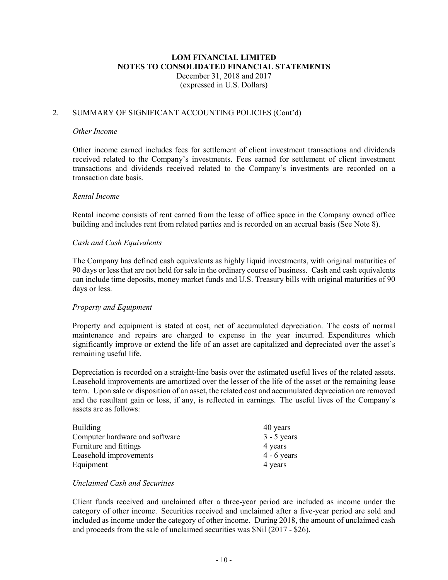# 2. SUMMARY OF SIGNIFICANT ACCOUNTING POLICIES (Cont'd)

#### *Other Income*

Other income earned includes fees for settlement of client investment transactions and dividends received related to the Company's investments. Fees earned for settlement of client investment transactions and dividends received related to the Company's investments are recorded on a transaction date basis.

# *Rental Income*

Rental income consists of rent earned from the lease of office space in the Company owned office building and includes rent from related parties and is recorded on an accrual basis (See Note 8).

# *Cash and Cash Equivalents*

The Company has defined cash equivalents as highly liquid investments, with original maturities of 90 days or less that are not held for sale in the ordinary course of business. Cash and cash equivalents can include time deposits, money market funds and U.S. Treasury bills with original maturities of 90 days or less.

# *Property and Equipment*

Property and equipment is stated at cost, net of accumulated depreciation. The costs of normal maintenance and repairs are charged to expense in the year incurred. Expenditures which significantly improve or extend the life of an asset are capitalized and depreciated over the asset's remaining useful life.

Depreciation is recorded on a straight-line basis over the estimated useful lives of the related assets. Leasehold improvements are amortized over the lesser of the life of the asset or the remaining lease term. Upon sale or disposition of an asset, the related cost and accumulated depreciation are removed and the resultant gain or loss, if any, is reflected in earnings. The useful lives of the Company's assets are as follows:

| Building                       | 40 years      |
|--------------------------------|---------------|
| Computer hardware and software | $3 - 5$ years |
| Furniture and fittings         | 4 years       |
| Leasehold improvements         | $4 - 6$ years |
| Equipment                      | 4 years       |

#### *Unclaimed Cash and Securities*

Client funds received and unclaimed after a three-year period are included as income under the category of other income. Securities received and unclaimed after a five-year period are sold and included as income under the category of other income. During 2018, the amount of unclaimed cash and proceeds from the sale of unclaimed securities was \$Nil (2017 - \$26).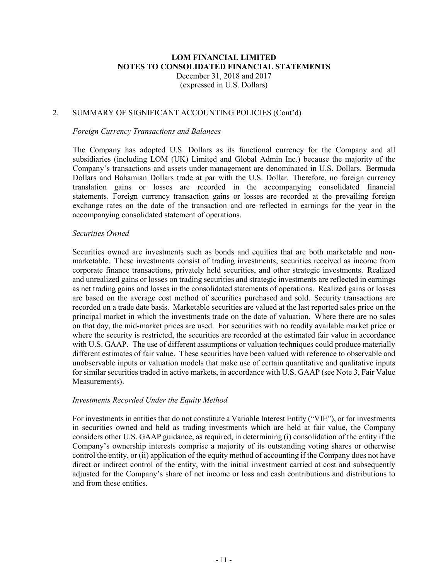# 2. SUMMARY OF SIGNIFICANT ACCOUNTING POLICIES (Cont'd)

#### *Foreign Currency Transactions and Balances*

The Company has adopted U.S. Dollars as its functional currency for the Company and all subsidiaries (including LOM (UK) Limited and Global Admin Inc.) because the majority of the Company's transactions and assets under management are denominated in U.S. Dollars. Bermuda Dollars and Bahamian Dollars trade at par with the U.S. Dollar. Therefore, no foreign currency translation gains or losses are recorded in the accompanying consolidated financial statements. Foreign currency transaction gains or losses are recorded at the prevailing foreign exchange rates on the date of the transaction and are reflected in earnings for the year in the accompanying consolidated statement of operations.

#### *Securities Owned*

Securities owned are investments such as bonds and equities that are both marketable and nonmarketable. These investments consist of trading investments, securities received as income from corporate finance transactions, privately held securities, and other strategic investments. Realized and unrealized gains or losses on trading securities and strategic investments are reflected in earnings as net trading gains and losses in the consolidated statements of operations. Realized gains or losses are based on the average cost method of securities purchased and sold. Security transactions are recorded on a trade date basis. Marketable securities are valued at the last reported sales price on the principal market in which the investments trade on the date of valuation. Where there are no sales on that day, the mid-market prices are used. For securities with no readily available market price or where the security is restricted, the securities are recorded at the estimated fair value in accordance with U.S. GAAP. The use of different assumptions or valuation techniques could produce materially different estimates of fair value. These securities have been valued with reference to observable and unobservable inputs or valuation models that make use of certain quantitative and qualitative inputs for similar securities traded in active markets, in accordance with U.S. GAAP (see Note 3, Fair Value Measurements).

#### *Investments Recorded Under the Equity Method*

For investments in entities that do not constitute a Variable Interest Entity ("VIE"), or for investments in securities owned and held as trading investments which are held at fair value, the Company considers other U.S. GAAP guidance, as required, in determining (i) consolidation of the entity if the Company's ownership interests comprise a majority of its outstanding voting shares or otherwise control the entity, or (ii) application of the equity method of accounting if the Company does not have direct or indirect control of the entity, with the initial investment carried at cost and subsequently adjusted for the Company's share of net income or loss and cash contributions and distributions to and from these entities.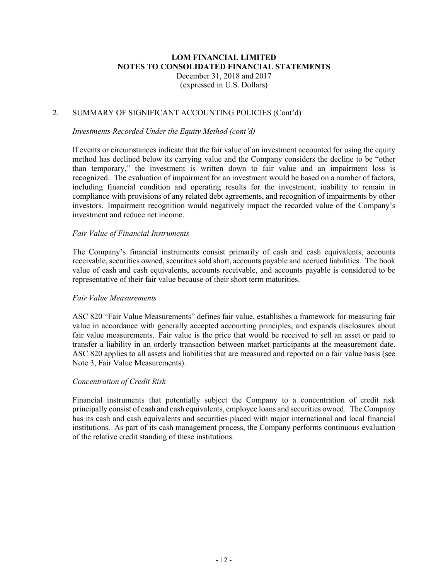# 2. SUMMARY OF SIGNIFICANT ACCOUNTING POLICIES (Cont'd)

#### *Investments Recorded Under the Equity Method (cont'd)*

If events or circumstances indicate that the fair value of an investment accounted for using the equity method has declined below its carrying value and the Company considers the decline to be "other than temporary," the investment is written down to fair value and an impairment loss is recognized. The evaluation of impairment for an investment would be based on a number of factors, including financial condition and operating results for the investment, inability to remain in compliance with provisions of any related debt agreements, and recognition of impairments by other investors. Impairment recognition would negatively impact the recorded value of the Company's investment and reduce net income.

#### *Fair Value of Financial Instruments*

The Company's financial instruments consist primarily of cash and cash equivalents, accounts receivable, securities owned, securities sold short, accounts payable and accrued liabilities. The book value of cash and cash equivalents, accounts receivable, and accounts payable is considered to be representative of their fair value because of their short term maturities.

#### *Fair Value Measurements*

ASC 820 "Fair Value Measurements" defines fair value, establishes a framework for measuring fair value in accordance with generally accepted accounting principles, and expands disclosures about fair value measurements. Fair value is the price that would be received to sell an asset or paid to transfer a liability in an orderly transaction between market participants at the measurement date. ASC 820 applies to all assets and liabilities that are measured and reported on a fair value basis (see Note 3, Fair Value Measurements).

# *Concentration of Credit Risk*

Financial instruments that potentially subject the Company to a concentration of credit risk principally consist of cash and cash equivalents, employee loans and securities owned. The Company has its cash and cash equivalents and securities placed with major international and local financial institutions. As part of its cash management process, the Company performs continuous evaluation of the relative credit standing of these institutions.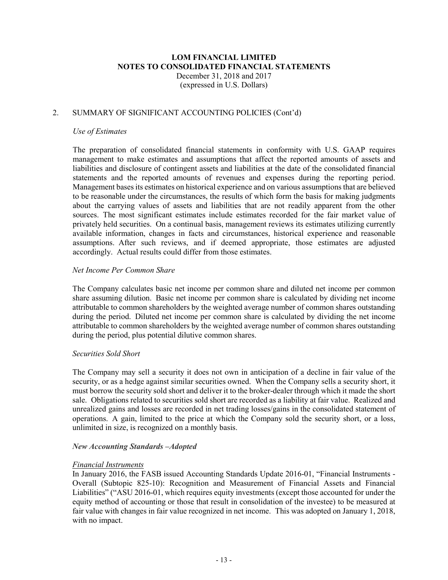# 2. SUMMARY OF SIGNIFICANT ACCOUNTING POLICIES (Cont'd)

#### *Use of Estimates*

The preparation of consolidated financial statements in conformity with U.S. GAAP requires management to make estimates and assumptions that affect the reported amounts of assets and liabilities and disclosure of contingent assets and liabilities at the date of the consolidated financial statements and the reported amounts of revenues and expenses during the reporting period. Management bases its estimates on historical experience and on various assumptions that are believed to be reasonable under the circumstances, the results of which form the basis for making judgments about the carrying values of assets and liabilities that are not readily apparent from the other sources. The most significant estimates include estimates recorded for the fair market value of privately held securities. On a continual basis, management reviews its estimates utilizing currently available information, changes in facts and circumstances, historical experience and reasonable assumptions. After such reviews, and if deemed appropriate, those estimates are adjusted accordingly. Actual results could differ from those estimates.

#### *Net Income Per Common Share*

The Company calculates basic net income per common share and diluted net income per common share assuming dilution. Basic net income per common share is calculated by dividing net income attributable to common shareholders by the weighted average number of common shares outstanding during the period. Diluted net income per common share is calculated by dividing the net income attributable to common shareholders by the weighted average number of common shares outstanding during the period, plus potential dilutive common shares.

#### *Securities Sold Short*

The Company may sell a security it does not own in anticipation of a decline in fair value of the security, or as a hedge against similar securities owned. When the Company sells a security short, it must borrow the security sold short and deliver it to the broker-dealer through which it made the short sale. Obligations related to securities sold short are recorded as a liability at fair value. Realized and unrealized gains and losses are recorded in net trading losses/gains in the consolidated statement of operations. A gain, limited to the price at which the Company sold the security short, or a loss, unlimited in size, is recognized on a monthly basis.

#### *New Accounting Standards –Adopted*

#### *Financial Instruments*

In January 2016, the FASB issued Accounting Standards Update 2016-01, "Financial Instruments - Overall (Subtopic 825-10): Recognition and Measurement of Financial Assets and Financial Liabilities" ("ASU 2016-01, which requires equity investments (except those accounted for under the equity method of accounting or those that result in consolidation of the investee) to be measured at fair value with changes in fair value recognized in net income. This was adopted on January 1, 2018, with no impact.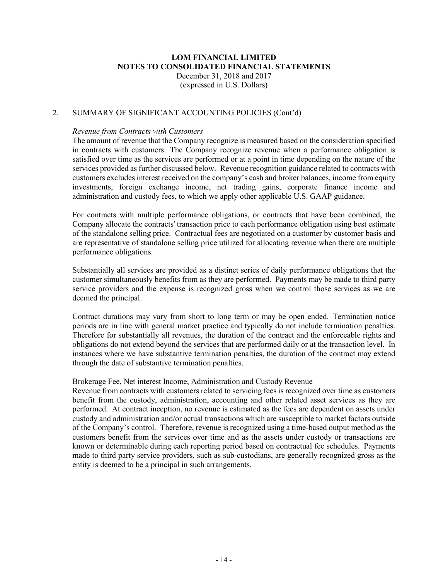# 2. SUMMARY OF SIGNIFICANT ACCOUNTING POLICIES (Cont'd)

#### *Revenue from Contracts with Customers*

The amount of revenue that the Company recognize is measured based on the consideration specified in contracts with customers. The Company recognize revenue when a performance obligation is satisfied over time as the services are performed or at a point in time depending on the nature of the services provided as further discussed below. Revenue recognition guidance related to contracts with customers excludes interest received on the company's cash and broker balances, income from equity investments, foreign exchange income, net trading gains, corporate finance income and administration and custody fees, to which we apply other applicable U.S. GAAP guidance.

For contracts with multiple performance obligations, or contracts that have been combined, the Company allocate the contracts' transaction price to each performance obligation using best estimate of the standalone selling price. Contractual fees are negotiated on a customer by customer basis and are representative of standalone selling price utilized for allocating revenue when there are multiple performance obligations.

Substantially all services are provided as a distinct series of daily performance obligations that the customer simultaneously benefits from as they are performed. Payments may be made to third party service providers and the expense is recognized gross when we control those services as we are deemed the principal.

Contract durations may vary from short to long term or may be open ended. Termination notice periods are in line with general market practice and typically do not include termination penalties. Therefore for substantially all revenues, the duration of the contract and the enforceable rights and obligations do not extend beyond the services that are performed daily or at the transaction level. In instances where we have substantive termination penalties, the duration of the contract may extend through the date of substantive termination penalties.

# Brokerage Fee, Net interest Income, Administration and Custody Revenue

Revenue from contracts with customers related to servicing fees is recognized over time as customers benefit from the custody, administration, accounting and other related asset services as they are performed. At contract inception, no revenue is estimated as the fees are dependent on assets under custody and administration and/or actual transactions which are susceptible to market factors outside of the Company's control. Therefore, revenue is recognized using a time-based output method as the customers benefit from the services over time and as the assets under custody or transactions are known or determinable during each reporting period based on contractual fee schedules. Payments made to third party service providers, such as sub-custodians, are generally recognized gross as the entity is deemed to be a principal in such arrangements.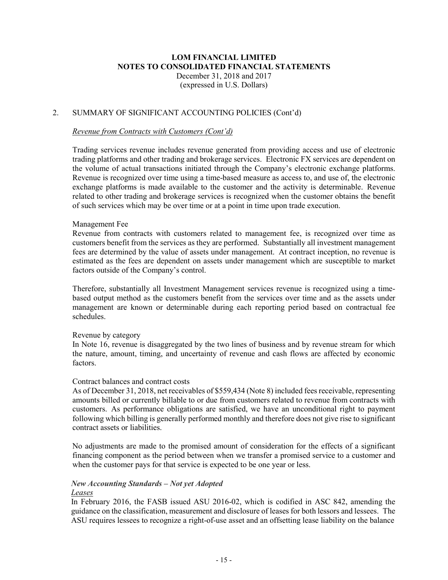# 2. SUMMARY OF SIGNIFICANT ACCOUNTING POLICIES (Cont'd)

#### *Revenue from Contracts with Customers (Cont'd)*

Trading services revenue includes revenue generated from providing access and use of electronic trading platforms and other trading and brokerage services. Electronic FX services are dependent on the volume of actual transactions initiated through the Company's electronic exchange platforms. Revenue is recognized over time using a time-based measure as access to, and use of, the electronic exchange platforms is made available to the customer and the activity is determinable. Revenue related to other trading and brokerage services is recognized when the customer obtains the benefit of such services which may be over time or at a point in time upon trade execution.

#### Management Fee

Revenue from contracts with customers related to management fee, is recognized over time as customers benefit from the services as they are performed. Substantially all investment management fees are determined by the value of assets under management. At contract inception, no revenue is estimated as the fees are dependent on assets under management which are susceptible to market factors outside of the Company's control.

Therefore, substantially all Investment Management services revenue is recognized using a timebased output method as the customers benefit from the services over time and as the assets under management are known or determinable during each reporting period based on contractual fee schedules.

#### Revenue by category

In Note 16, revenue is disaggregated by the two lines of business and by revenue stream for which the nature, amount, timing, and uncertainty of revenue and cash flows are affected by economic factors.

# Contract balances and contract costs

As of December 31, 2018, net receivables of \$559,434 (Note 8) included fees receivable, representing amounts billed or currently billable to or due from customers related to revenue from contracts with customers. As performance obligations are satisfied, we have an unconditional right to payment following which billing is generally performed monthly and therefore does not give rise to significant contract assets or liabilities.

No adjustments are made to the promised amount of consideration for the effects of a significant financing component as the period between when we transfer a promised service to a customer and when the customer pays for that service is expected to be one year or less.

#### *New Accounting Standards – Not yet Adopted*

#### *Leases*

In February 2016, the FASB issued ASU 2016-02, which is codified in ASC 842, amending the guidance on the classification, measurement and disclosure of leases for both lessors and lessees. The ASU requires lessees to recognize a right-of-use asset and an offsetting lease liability on the balance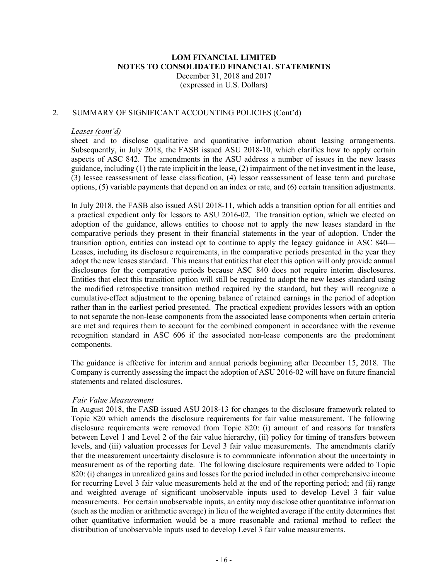# 2. SUMMARY OF SIGNIFICANT ACCOUNTING POLICIES (Cont'd)

#### *Leases (cont'd)*

sheet and to disclose qualitative and quantitative information about leasing arrangements. Subsequently, in July 2018, the FASB issued ASU 2018-10, which clarifies how to apply certain aspects of ASC 842. The amendments in the ASU address a number of issues in the new leases guidance, including (1) the rate implicit in the lease, (2) impairment of the net investment in the lease, (3) lessee reassessment of lease classification, (4) lessor reassessment of lease term and purchase options, (5) variable payments that depend on an index or rate, and (6) certain transition adjustments.

In July 2018, the FASB also issued ASU 2018-11, which adds a transition option for all entities and a practical expedient only for lessors to ASU 2016-02. The transition option, which we elected on adoption of the guidance, allows entities to choose not to apply the new leases standard in the comparative periods they present in their financial statements in the year of adoption. Under the transition option, entities can instead opt to continue to apply the legacy guidance in ASC 840— Leases, including its disclosure requirements, in the comparative periods presented in the year they adopt the new leases standard. This means that entities that elect this option will only provide annual disclosures for the comparative periods because ASC 840 does not require interim disclosures. Entities that elect this transition option will still be required to adopt the new leases standard using the modified retrospective transition method required by the standard, but they will recognize a cumulative-effect adjustment to the opening balance of retained earnings in the period of adoption rather than in the earliest period presented. The practical expedient provides lessors with an option to not separate the non-lease components from the associated lease components when certain criteria are met and requires them to account for the combined component in accordance with the revenue recognition standard in ASC 606 if the associated non-lease components are the predominant components.

The guidance is effective for interim and annual periods beginning after December 15, 2018. The Company is currently assessing the impact the adoption of ASU 2016-02 will have on future financial statements and related disclosures.

#### *Fair Value Measurement*

In August 2018, the FASB issued ASU 2018-13 for changes to the disclosure framework related to Topic 820 which amends the disclosure requirements for fair value measurement. The following disclosure requirements were removed from Topic 820: (i) amount of and reasons for transfers between Level 1 and Level 2 of the fair value hierarchy, (ii) policy for timing of transfers between levels, and (iii) valuation processes for Level 3 fair value measurements. The amendments clarify that the measurement uncertainty disclosure is to communicate information about the uncertainty in measurement as of the reporting date. The following disclosure requirements were added to Topic 820: (i) changes in unrealized gains and losses for the period included in other comprehensive income for recurring Level 3 fair value measurements held at the end of the reporting period; and (ii) range and weighted average of significant unobservable inputs used to develop Level 3 fair value measurements. For certain unobservable inputs, an entity may disclose other quantitative information (such as the median or arithmetic average) in lieu of the weighted average if the entity determines that other quantitative information would be a more reasonable and rational method to reflect the distribution of unobservable inputs used to develop Level 3 fair value measurements.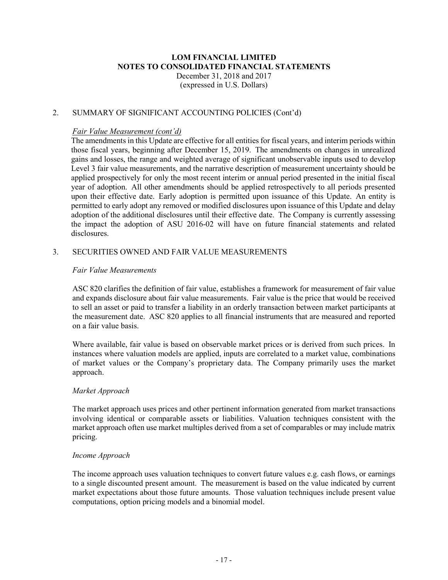# 2. SUMMARY OF SIGNIFICANT ACCOUNTING POLICIES (Cont'd)

#### *Fair Value Measurement (cont'd)*

The amendments in this Update are effective for all entities for fiscal years, and interim periods within those fiscal years, beginning after December 15, 2019. The amendments on changes in unrealized gains and losses, the range and weighted average of significant unobservable inputs used to develop Level 3 fair value measurements, and the narrative description of measurement uncertainty should be applied prospectively for only the most recent interim or annual period presented in the initial fiscal year of adoption. All other amendments should be applied retrospectively to all periods presented upon their effective date. Early adoption is permitted upon issuance of this Update. An entity is permitted to early adopt any removed or modified disclosures upon issuance of this Update and delay adoption of the additional disclosures until their effective date. The Company is currently assessing the impact the adoption of ASU 2016-02 will have on future financial statements and related disclosures.

# 3. SECURITIES OWNED AND FAIR VALUE MEASUREMENTS

# *Fair Value Measurements*

ASC 820 clarifies the definition of fair value, establishes a framework for measurement of fair value and expands disclosure about fair value measurements. Fair value is the price that would be received to sell an asset or paid to transfer a liability in an orderly transaction between market participants at the measurement date. ASC 820 applies to all financial instruments that are measured and reported on a fair value basis.

Where available, fair value is based on observable market prices or is derived from such prices. In instances where valuation models are applied, inputs are correlated to a market value, combinations of market values or the Company's proprietary data. The Company primarily uses the market approach.

#### *Market Approach*

The market approach uses prices and other pertinent information generated from market transactions involving identical or comparable assets or liabilities. Valuation techniques consistent with the market approach often use market multiples derived from a set of comparables or may include matrix pricing.

#### *Income Approach*

The income approach uses valuation techniques to convert future values e.g. cash flows, or earnings to a single discounted present amount. The measurement is based on the value indicated by current market expectations about those future amounts. Those valuation techniques include present value computations, option pricing models and a binomial model.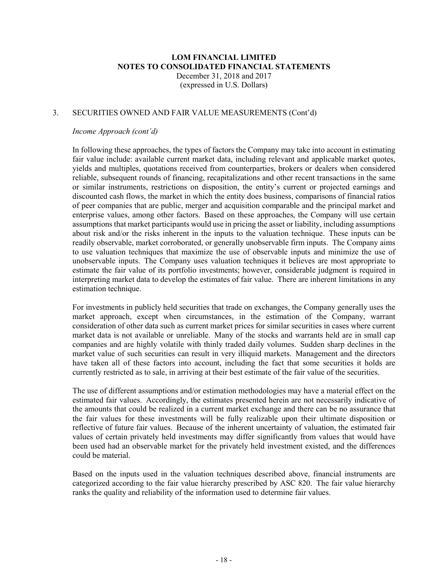# 3. SECURITIES OWNED AND FAIR VALUE MEASUREMENTS (Cont'd)

#### *Income Approach (cont'd)*

In following these approaches, the types of factors the Company may take into account in estimating fair value include: available current market data, including relevant and applicable market quotes, yields and multiples, quotations received from counterparties, brokers or dealers when considered reliable, subsequent rounds of financing, recapitalizations and other recent transactions in the same or similar instruments, restrictions on disposition, the entity's current or projected earnings and discounted cash flows, the market in which the entity does business, comparisons of financial ratios of peer companies that are public, merger and acquisition comparable and the principal market and enterprise values, among other factors. Based on these approaches, the Company will use certain assumptions that market participants would use in pricing the asset or liability, including assumptions about risk and/or the risks inherent in the inputs to the valuation technique. These inputs can be readily observable, market corroborated, or generally unobservable firm inputs. The Company aims to use valuation techniques that maximize the use of observable inputs and minimize the use of unobservable inputs. The Company uses valuation techniques it believes are most appropriate to estimate the fair value of its portfolio investments; however, considerable judgment is required in interpreting market data to develop the estimates of fair value. There are inherent limitations in any estimation technique.

For investments in publicly held securities that trade on exchanges, the Company generally uses the market approach, except when circumstances, in the estimation of the Company, warrant consideration of other data such as current market prices for similar securities in cases where current market data is not available or unreliable. Many of the stocks and warrants held are in small cap companies and are highly volatile with thinly traded daily volumes. Sudden sharp declines in the market value of such securities can result in very illiquid markets. Management and the directors have taken all of these factors into account, including the fact that some securities it holds are currently restricted as to sale, in arriving at their best estimate of the fair value of the securities.

The use of different assumptions and/or estimation methodologies may have a material effect on the estimated fair values. Accordingly, the estimates presented herein are not necessarily indicative of the amounts that could be realized in a current market exchange and there can be no assurance that the fair values for these investments will be fully realizable upon their ultimate disposition or reflective of future fair values. Because of the inherent uncertainty of valuation, the estimated fair values of certain privately held investments may differ significantly from values that would have been used had an observable market for the privately held investment existed, and the differences could be material.

Based on the inputs used in the valuation techniques described above, financial instruments are categorized according to the fair value hierarchy prescribed by ASC 820. The fair value hierarchy ranks the quality and reliability of the information used to determine fair values.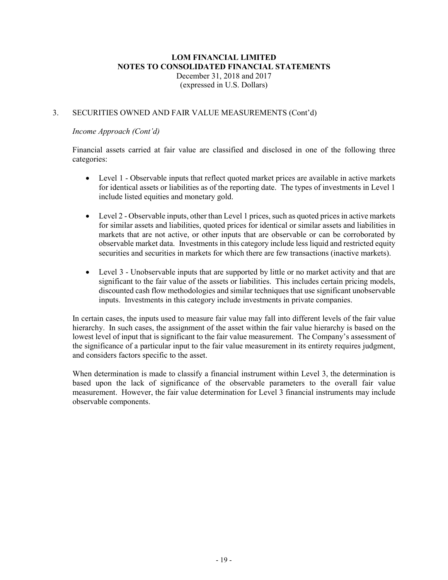# 3. SECURITIES OWNED AND FAIR VALUE MEASUREMENTS (Cont'd)

# *Income Approach (Cont'd)*

Financial assets carried at fair value are classified and disclosed in one of the following three categories:

- Level 1 Observable inputs that reflect quoted market prices are available in active markets for identical assets or liabilities as of the reporting date. The types of investments in Level 1 include listed equities and monetary gold.
- Level 2 Observable inputs, other than Level 1 prices, such as quoted prices in active markets for similar assets and liabilities, quoted prices for identical or similar assets and liabilities in markets that are not active, or other inputs that are observable or can be corroborated by observable market data. Investments in this category include less liquid and restricted equity securities and securities in markets for which there are few transactions (inactive markets).
- Level 3 Unobservable inputs that are supported by little or no market activity and that are significant to the fair value of the assets or liabilities. This includes certain pricing models, discounted cash flow methodologies and similar techniques that use significant unobservable inputs. Investments in this category include investments in private companies.

In certain cases, the inputs used to measure fair value may fall into different levels of the fair value hierarchy. In such cases, the assignment of the asset within the fair value hierarchy is based on the lowest level of input that is significant to the fair value measurement. The Company's assessment of the significance of a particular input to the fair value measurement in its entirety requires judgment, and considers factors specific to the asset.

When determination is made to classify a financial instrument within Level 3, the determination is based upon the lack of significance of the observable parameters to the overall fair value measurement. However, the fair value determination for Level 3 financial instruments may include observable components.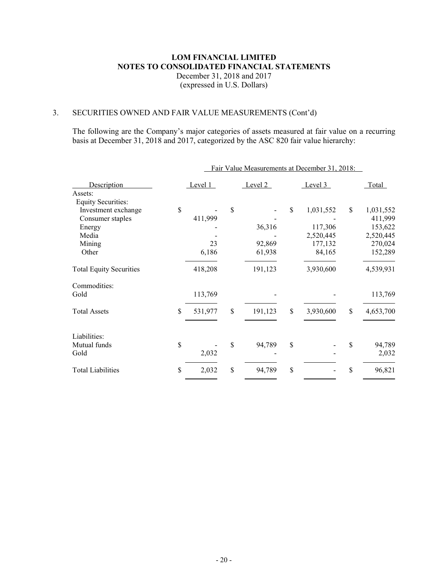# 3. SECURITIES OWNED AND FAIR VALUE MEASUREMENTS (Cont'd)

The following are the Company's major categories of assets measured at fair value on a recurring basis at December 31, 2018 and 2017, categorized by the ASC 820 fair value hierarchy:

|                                | Tall value ividasulelilellis at December 91, 2010. |    |         |    |           |    |           |
|--------------------------------|----------------------------------------------------|----|---------|----|-----------|----|-----------|
| Description                    | Level 1                                            |    | Level 2 |    | Level 3   |    | Total     |
| Assets:                        |                                                    |    |         |    |           |    |           |
| <b>Equity Securities:</b>      |                                                    |    |         |    |           |    |           |
| Investment exchange            | \$                                                 | \$ |         | \$ | 1,031,552 | \$ | 1,031,552 |
| Consumer staples               | 411,999                                            |    |         |    |           |    | 411,999   |
| Energy                         |                                                    |    | 36,316  |    | 117,306   |    | 153,622   |
| Media                          |                                                    |    |         |    | 2,520,445 |    | 2,520,445 |
| Mining                         | 23                                                 |    | 92,869  |    | 177,132   |    | 270,024   |
| Other                          | 6,186                                              |    | 61,938  |    | 84,165    |    | 152,289   |
| <b>Total Equity Securities</b> | 418,208                                            |    | 191,123 |    | 3,930,600 |    | 4,539,931 |
| Commodities:                   |                                                    |    |         |    |           |    |           |
| Gold                           | 113,769                                            |    |         |    |           |    | 113,769   |
| <b>Total Assets</b>            | \$<br>531,977                                      | \$ | 191,123 | \$ | 3,930,600 | \$ | 4,653,700 |
|                                |                                                    |    |         |    |           |    |           |
| Liabilities:                   |                                                    |    |         |    |           |    |           |
| Mutual funds                   | \$                                                 | \$ |         |    |           | \$ | 94,789    |
|                                | 2,032                                              |    |         |    |           |    | 2,032     |
| <b>Total Liabilities</b>       | \$<br>2,032                                        | \$ | 94,789  | \$ |           | \$ | 96,821    |
| Gold                           |                                                    |    | 94,789  | \$ |           |    |           |

Fair Value Measurements at December 31, 2018: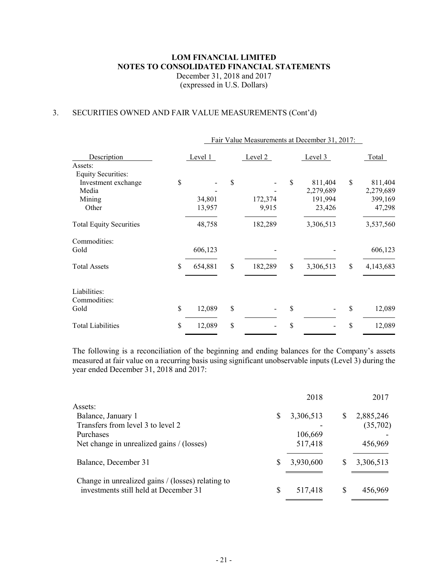# 3. SECURITIES OWNED AND FAIR VALUE MEASUREMENTS (Cont'd)

|                                | Fair Value Measurements at December 31, 2017: |         |    |         |    |           |    |           |
|--------------------------------|-----------------------------------------------|---------|----|---------|----|-----------|----|-----------|
| Description<br>Assets:         |                                               | Level 1 |    | Level 2 |    | Level 3   |    | Total     |
| <b>Equity Securities:</b>      |                                               |         |    |         |    |           |    |           |
| Investment exchange            | \$                                            |         | \$ |         | \$ | 811,404   | \$ | 811,404   |
| Media                          |                                               |         |    |         |    | 2,279,689 |    | 2,279,689 |
| Mining                         |                                               | 34,801  |    | 172,374 |    | 191,994   |    | 399,169   |
| Other                          |                                               | 13,957  |    | 9,915   |    | 23,426    |    | 47,298    |
| <b>Total Equity Securities</b> |                                               | 48,758  |    | 182,289 |    | 3,306,513 |    | 3,537,560 |
| Commodities:                   |                                               |         |    |         |    |           |    |           |
| Gold                           |                                               | 606,123 |    |         |    |           |    | 606,123   |
| <b>Total Assets</b>            | \$                                            | 654,881 | \$ | 182,289 | \$ | 3,306,513 | \$ | 4,143,683 |
| Liabilities:                   |                                               |         |    |         |    |           |    |           |
| Commodities:                   |                                               |         |    |         |    |           |    |           |
| Gold                           | \$                                            | 12,089  | \$ |         | \$ |           | \$ | 12,089    |
| <b>Total Liabilities</b>       | \$                                            | 12,089  | \$ |         | \$ |           | \$ | 12,089    |

The following is a reconciliation of the beginning and ending balances for the Company's assets measured at fair value on a recurring basis using significant unobservable inputs (Level 3) during the year ended December 31, 2018 and 2017:

|     | 2018      |   | 2017      |
|-----|-----------|---|-----------|
|     |           |   |           |
| \$. | 3,306,513 | S | 2,885,246 |
|     |           |   | (35,702)  |
|     | 106,669   |   |           |
|     | 517,418   |   | 456,969   |
| S   | 3,930,600 |   | 3,306,513 |
| S   | 517,418   |   | 456,969   |
|     |           |   |           |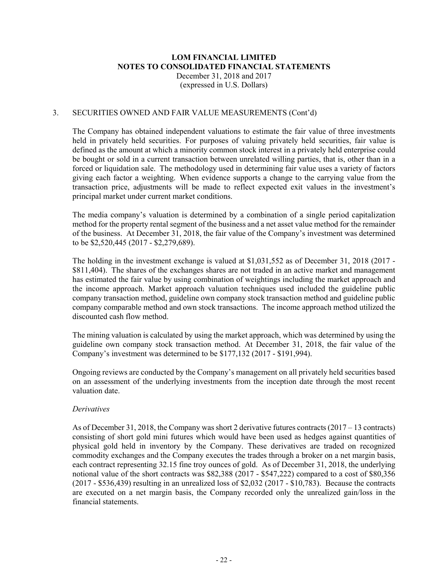# 3. SECURITIES OWNED AND FAIR VALUE MEASUREMENTS (Cont'd)

The Company has obtained independent valuations to estimate the fair value of three investments held in privately held securities. For purposes of valuing privately held securities, fair value is defined as the amount at which a minority common stock interest in a privately held enterprise could be bought or sold in a current transaction between unrelated willing parties, that is, other than in a forced or liquidation sale. The methodology used in determining fair value uses a variety of factors giving each factor a weighting. When evidence supports a change to the carrying value from the transaction price, adjustments will be made to reflect expected exit values in the investment's principal market under current market conditions.

The media company's valuation is determined by a combination of a single period capitalization method for the property rental segment of the business and a net asset value method for the remainder of the business. At December 31, 2018, the fair value of the Company's investment was determined to be \$2,520,445 (2017 - \$2,279,689).

The holding in the investment exchange is valued at \$1,031,552 as of December 31, 2018 (2017 - \$811,404). The shares of the exchanges shares are not traded in an active market and management has estimated the fair value by using combination of weightings including the market approach and the income approach. Market approach valuation techniques used included the guideline public company transaction method, guideline own company stock transaction method and guideline public company comparable method and own stock transactions. The income approach method utilized the discounted cash flow method.

The mining valuation is calculated by using the market approach, which was determined by using the guideline own company stock transaction method. At December 31, 2018, the fair value of the Company's investment was determined to be \$177,132 (2017 - \$191,994).

Ongoing reviews are conducted by the Company's management on all privately held securities based on an assessment of the underlying investments from the inception date through the most recent valuation date.

#### *Derivatives*

As of December 31, 2018, the Company was short 2 derivative futures contracts (2017 – 13 contracts) consisting of short gold mini futures which would have been used as hedges against quantities of physical gold held in inventory by the Company. These derivatives are traded on recognized commodity exchanges and the Company executes the trades through a broker on a net margin basis, each contract representing 32.15 fine troy ounces of gold. As of December 31, 2018, the underlying notional value of the short contracts was \$82,388 (2017 - \$547,222) compared to a cost of \$80,356 (2017 - \$536,439) resulting in an unrealized loss of \$2,032 (2017 - \$10,783). Because the contracts are executed on a net margin basis, the Company recorded only the unrealized gain/loss in the financial statements.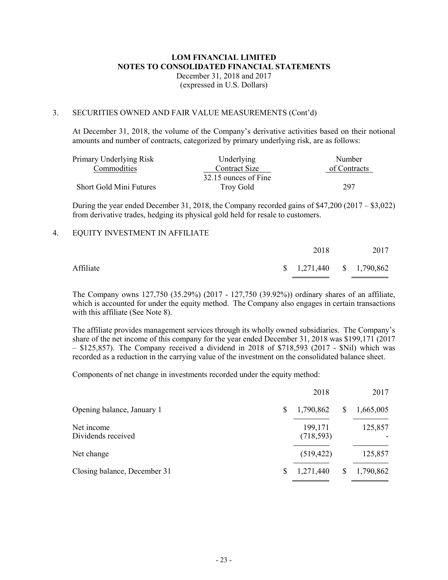## 3. SECURITIES OWNED AND FAIR VALUE MEASUREMENTS (Cont'd)

At December 31, 2018, the volume of the Company's derivative activities based on their notional amounts and number of contracts, categorized by primary underlying risk, are as follows:

| Primary Underlying Risk        | Underlying           | Number       |
|--------------------------------|----------------------|--------------|
| <b>Commodities</b>             | Contract Size        | of Contracts |
|                                | 32.15 ounces of Fine |              |
| <b>Short Gold Mini Futures</b> | Trov Gold            | 297          |

During the year ended December 31, 2018, the Company recorded gains of \$47,200 (2017 – \$3,022) from derivative trades, hedging its physical gold held for resale to customers.

# 4. EQUITY INVESTMENT IN AFFILIATE

|           | 2018                            | 2017 |
|-----------|---------------------------------|------|
| Affiliate | $\frac{1,271,440}{8}$ 1,790,862 |      |

The Company owns 127,750 (35.29%) (2017 - 127,750 (39.92%)) ordinary shares of an affiliate, which is accounted for under the equity method. The Company also engages in certain transactions with this affiliate (See Note 8).

The affiliate provides management services through its wholly owned subsidiaries. The Company's share of the net income of this company for the year ended December 31, 2018 was \$199,171 (2017 – \$125,857). The Company received a dividend in 2018 of \$718,593 (2017 - \$Nil) which was recorded as a reduction in the carrying value of the investment on the consolidated balance sheet.

Components of net change in investments recorded under the equity method:

|                                  |    | 2018                  |   | 2017      |
|----------------------------------|----|-----------------------|---|-----------|
| Opening balance, January 1       | \$ | 1,790,862             | S | 1,665,005 |
| Net income<br>Dividends received |    | 199,171<br>(718, 593) |   | 125,857   |
| Net change                       |    | (519, 422)            |   | 125,857   |
| Closing balance, December 31     | S  | 1,271,440             |   | 1,790,862 |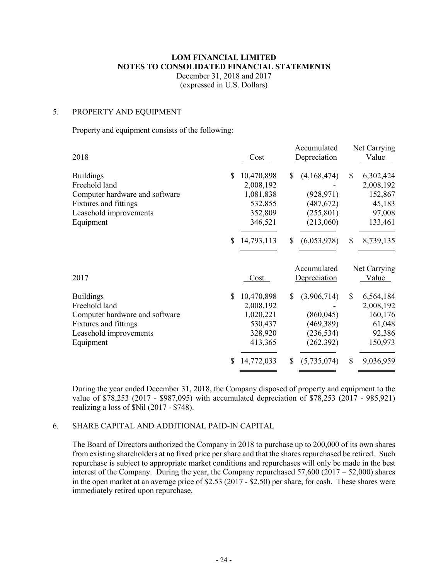# **LOM FINANCIAL LIMITED NOTES TO CONSOLIDATED FINANCIAL STATEMENTS**

December 31, 2018 and 2017 (expressed in U.S. Dollars)

# 5. PROPERTY AND EQUIPMENT

Property and equipment consists of the following:

|                                |                  | Accumulated       |              | Net Carrying |
|--------------------------------|------------------|-------------------|--------------|--------------|
| 2018                           | Cost             | Depreciation      |              | Value        |
| <b>Buildings</b>               | \$<br>10,470,898 | \$<br>(4,168,474) | \$           | 6,302,424    |
| Freehold land                  | 2,008,192        |                   |              | 2,008,192    |
| Computer hardware and software | 1,081,838        | (928, 971)        |              | 152,867      |
| Fixtures and fittings          | 532,855          | (487, 672)        |              | 45,183       |
| Leasehold improvements         | 352,809          | (255, 801)        |              | 97,008       |
| Equipment                      | 346,521          | (213,060)         |              | 133,461      |
|                                | \$<br>14,793,113 | \$<br>(6,053,978) | \$           | 8,739,135    |
|                                |                  | Accumulated       |              | Net Carrying |
| 2017                           | Cost             | Depreciation      |              | Value        |
| <b>Buildings</b>               | \$<br>10,470,898 | \$<br>(3,906,714) | $\mathbb{S}$ | 6,564,184    |
| Freehold land                  | 2,008,192        |                   |              | 2,008,192    |
| Computer hardware and software | 1,020,221        | (860, 045)        |              | 160,176      |
| Fixtures and fittings          | 530,437          | (469, 389)        |              | 61,048       |
| Leasehold improvements         | 328,920          | (236, 534)        |              | 92,386       |
| Equipment                      | 413,365          | (262, 392)        |              | 150,973      |
|                                |                  |                   |              |              |
|                                | \$<br>14,772,033 | \$<br>(5,735,074) | \$           | 9,036,959    |

During the year ended December 31, 2018, the Company disposed of property and equipment to the value of \$78,253 (2017 - \$987,095) with accumulated depreciation of \$78,253 (2017 - 985,921) realizing a loss of \$Nil (2017 - \$748).

# 6. SHARE CAPITAL AND ADDITIONAL PAID-IN CAPITAL

The Board of Directors authorized the Company in 2018 to purchase up to 200,000 of its own shares from existing shareholders at no fixed price per share and that the shares repurchased be retired. Such repurchase is subject to appropriate market conditions and repurchases will only be made in the best interest of the Company. During the year, the Company repurchased 57,600 (2017 – 52,000) shares in the open market at an average price of \$2.53 (2017 - \$2.50) per share, for cash. These shares were immediately retired upon repurchase.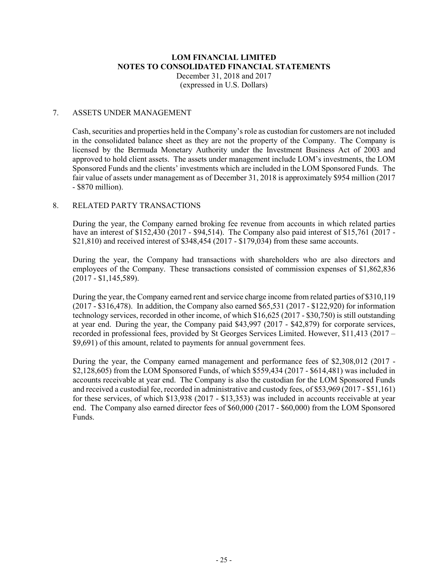#### **LOM FINANCIAL LIMITED NOTES TO CONSOLIDATED FINANCIAL STATEMENTS** December 31, 2018 and 2017

(expressed in U.S. Dollars)

# 7. ASSETS UNDER MANAGEMENT

Cash, securities and properties held in the Company's role as custodian for customers are not included in the consolidated balance sheet as they are not the property of the Company. The Company is licensed by the Bermuda Monetary Authority under the Investment Business Act of 2003 and approved to hold client assets. The assets under management include LOM's investments, the LOM Sponsored Funds and the clients' investments which are included in the LOM Sponsored Funds. The fair value of assets under management as of December 31, 2018 is approximately \$954 million (2017 - \$870 million).

# 8. RELATED PARTY TRANSACTIONS

During the year, the Company earned broking fee revenue from accounts in which related parties have an interest of \$152,430 (2017 - \$94,514). The Company also paid interest of \$15,761 (2017 -\$21,810) and received interest of \$348,454 (2017 - \$179,034) from these same accounts.

During the year, the Company had transactions with shareholders who are also directors and employees of the Company. These transactions consisted of commission expenses of \$1,862,836 (2017 - \$1,145,589).

During the year, the Company earned rent and service charge income from related parties of \$310,119 (2017 - \$316,478). In addition, the Company also earned \$65,531 (2017 - \$122,920) for information technology services, recorded in other income, of which \$16,625 (2017 - \$30,750) is still outstanding at year end. During the year, the Company paid \$43,997 (2017 - \$42,879) for corporate services, recorded in professional fees, provided by St Georges Services Limited. However, \$11,413 (2017 – \$9,691) of this amount, related to payments for annual government fees.

During the year, the Company earned management and performance fees of \$2,308,012 (2017 - \$2,128,605) from the LOM Sponsored Funds, of which \$559,434 (2017 - \$614,481) was included in accounts receivable at year end. The Company is also the custodian for the LOM Sponsored Funds and received a custodial fee, recorded in administrative and custody fees, of \$53,969 (2017 - \$51,161) for these services, of which \$13,938 (2017 - \$13,353) was included in accounts receivable at year end. The Company also earned director fees of \$60,000 (2017 - \$60,000) from the LOM Sponsored Funds.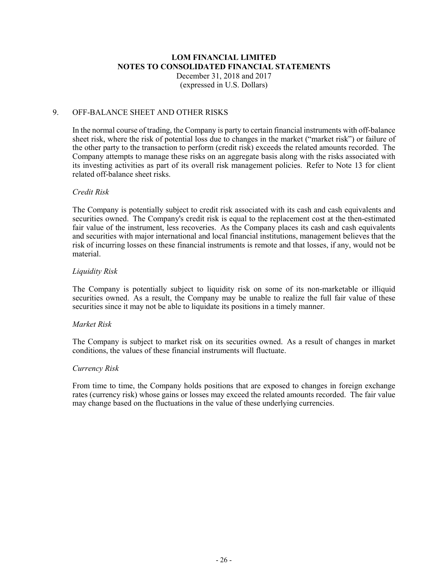# 9. OFF-BALANCE SHEET AND OTHER RISKS

In the normal course of trading, the Company is party to certain financial instruments with off-balance sheet risk, where the risk of potential loss due to changes in the market ("market risk") or failure of the other party to the transaction to perform (credit risk) exceeds the related amounts recorded. The Company attempts to manage these risks on an aggregate basis along with the risks associated with its investing activities as part of its overall risk management policies. Refer to Note 13 for client related off-balance sheet risks.

# *Credit Risk*

The Company is potentially subject to credit risk associated with its cash and cash equivalents and securities owned. The Company's credit risk is equal to the replacement cost at the then-estimated fair value of the instrument, less recoveries. As the Company places its cash and cash equivalents and securities with major international and local financial institutions, management believes that the risk of incurring losses on these financial instruments is remote and that losses, if any, would not be material.

# *Liquidity Risk*

The Company is potentially subject to liquidity risk on some of its non-marketable or illiquid securities owned. As a result, the Company may be unable to realize the full fair value of these securities since it may not be able to liquidate its positions in a timely manner.

#### *Market Risk*

The Company is subject to market risk on its securities owned. As a result of changes in market conditions, the values of these financial instruments will fluctuate.

#### *Currency Risk*

From time to time, the Company holds positions that are exposed to changes in foreign exchange rates (currency risk) whose gains or losses may exceed the related amounts recorded. The fair value may change based on the fluctuations in the value of these underlying currencies.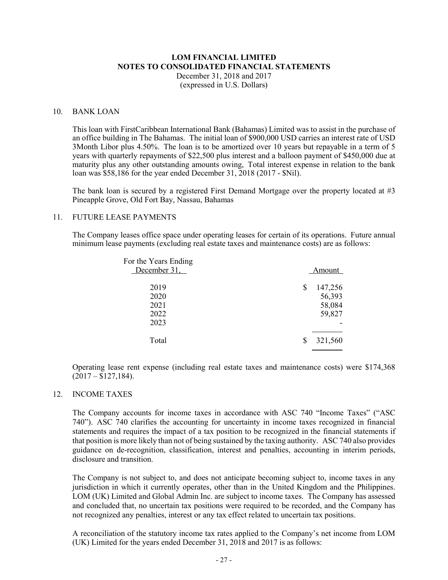# **LOM FINANCIAL LIMITED NOTES TO CONSOLIDATED FINANCIAL STATEMENTS** December 31, 2018 and 2017

(expressed in U.S. Dollars)

#### 10. BANK LOAN

This loan with FirstCaribbean International Bank (Bahamas) Limited was to assist in the purchase of an office building in The Bahamas. The initial loan of \$900,000 USD carries an interest rate of USD 3Month Libor plus 4.50%. The loan is to be amortized over 10 years but repayable in a term of 5 years with quarterly repayments of \$22,500 plus interest and a balloon payment of \$450,000 due at maturity plus any other outstanding amounts owing, Total interest expense in relation to the bank loan was \$58,186 for the year ended December 31, 2018 (2017 - \$Nil).

The bank loan is secured by a registered First Demand Mortgage over the property located at #3 Pineapple Grove, Old Fort Bay, Nassau, Bahamas

# 11. FUTURE LEASE PAYMENTS

The Company leases office space under operating leases for certain of its operations. Future annual minimum lease payments (excluding real estate taxes and maintenance costs) are as follows:

|   | Amount  |
|---|---------|
| S | 147,256 |
|   | 56,393  |
|   | 58,084  |
|   | 59,827  |
|   |         |
| S | 321,560 |
|   |         |

Operating lease rent expense (including real estate taxes and maintenance costs) were \$174,368  $(2017 - $127,184)$ .

#### 12. INCOME TAXES

The Company accounts for income taxes in accordance with ASC 740 "Income Taxes" ("ASC 740"). ASC 740 clarifies the accounting for uncertainty in income taxes recognized in financial statements and requires the impact of a tax position to be recognized in the financial statements if that position is more likely than not of being sustained by the taxing authority. ASC 740 also provides guidance on de-recognition, classification, interest and penalties, accounting in interim periods, disclosure and transition.

The Company is not subject to, and does not anticipate becoming subject to, income taxes in any jurisdiction in which it currently operates, other than in the United Kingdom and the Philippines. LOM (UK) Limited and Global Admin Inc. are subject to income taxes. The Company has assessed and concluded that, no uncertain tax positions were required to be recorded, and the Company has not recognized any penalties, interest or any tax effect related to uncertain tax positions.

A reconciliation of the statutory income tax rates applied to the Company's net income from LOM (UK) Limited for the years ended December 31, 2018 and 2017 is as follows: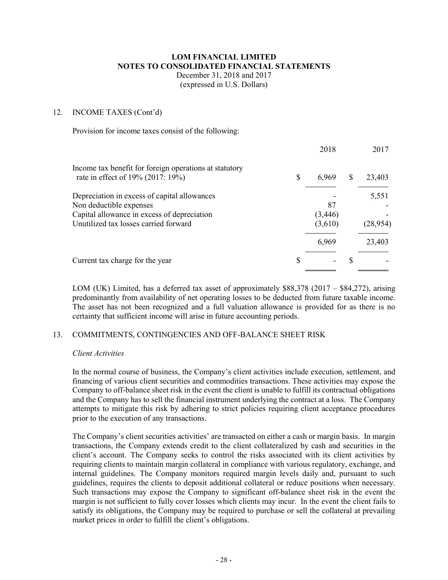# **LOM FINANCIAL LIMITED NOTES TO CONSOLIDATED FINANCIAL STATEMENTS**

December 31, 2018 and 2017

(expressed in U.S. Dollars)

# 12. INCOME TAXES (Cont'd)

Provision for income taxes consist of the following:

|                                                                                             |   | 2018     | 2017      |
|---------------------------------------------------------------------------------------------|---|----------|-----------|
| Income tax benefit for foreign operations at statutory<br>rate in effect of 19% (2017: 19%) | S | 6,969    | 23,403    |
| Depreciation in excess of capital allowances                                                |   |          | 5,551     |
| Non deductible expenses                                                                     |   | 87       |           |
| Capital allowance in excess of depreciation                                                 |   | (3, 446) |           |
| Unutilized tax losses carried forward                                                       |   | (3,610)  | (28, 954) |
|                                                                                             |   | 6,969    | 23,403    |
| Current tax charge for the year                                                             | S |          |           |
|                                                                                             |   |          |           |

LOM (UK) Limited, has a deferred tax asset of approximately \$88,378 (2017 – \$84,272), arising predominantly from availability of net operating losses to be deducted from future taxable income. The asset has not been recognized and a full valuation allowance is provided for as there is no certainty that sufficient income will arise in future accounting periods.

# 13. COMMITMENTS, CONTINGENCIES AND OFF-BALANCE SHEET RISK

# *Client Activities*

In the normal course of business, the Company's client activities include execution, settlement, and financing of various client securities and commodities transactions. These activities may expose the Company to off-balance sheet risk in the event the client is unable to fulfill its contractual obligations and the Company has to sell the financial instrument underlying the contract at a loss. The Company attempts to mitigate this risk by adhering to strict policies requiring client acceptance procedures prior to the execution of any transactions.

The Company's client securities activities' are transacted on either a cash or margin basis. In margin transactions, the Company extends credit to the client collateralized by cash and securities in the client's account. The Company seeks to control the risks associated with its client activities by requiring clients to maintain margin collateral in compliance with various regulatory, exchange, and internal guidelines. The Company monitors required margin levels daily and, pursuant to such guidelines, requires the clients to deposit additional collateral or reduce positions when necessary. Such transactions may expose the Company to significant off-balance sheet risk in the event the margin is not sufficient to fully cover losses which clients may incur. In the event the client fails to satisfy its obligations, the Company may be required to purchase or sell the collateral at prevailing market prices in order to fulfill the client's obligations.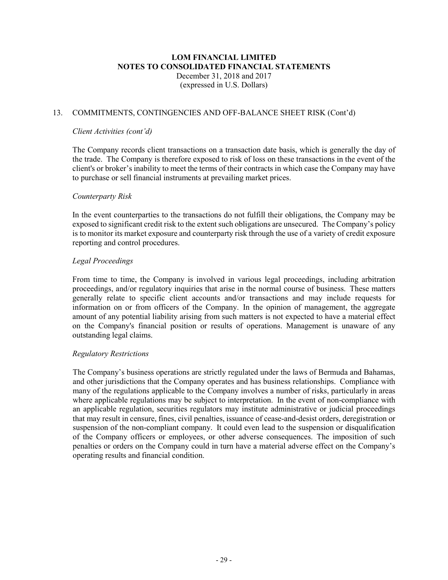# 13. COMMITMENTS, CONTINGENCIES AND OFF-BALANCE SHEET RISK (Cont'd)

# *Client Activities (cont'd)*

The Company records client transactions on a transaction date basis, which is generally the day of the trade. The Company is therefore exposed to risk of loss on these transactions in the event of the client's or broker's inability to meet the terms of their contracts in which case the Company may have to purchase or sell financial instruments at prevailing market prices.

#### *Counterparty Risk*

In the event counterparties to the transactions do not fulfill their obligations, the Company may be exposed to significant credit risk to the extent such obligations are unsecured. The Company's policy is to monitor its market exposure and counterparty risk through the use of a variety of credit exposure reporting and control procedures.

# *Legal Proceedings*

From time to time, the Company is involved in various legal proceedings, including arbitration proceedings, and/or regulatory inquiries that arise in the normal course of business. These matters generally relate to specific client accounts and/or transactions and may include requests for information on or from officers of the Company. In the opinion of management, the aggregate amount of any potential liability arising from such matters is not expected to have a material effect on the Company's financial position or results of operations. Management is unaware of any outstanding legal claims.

#### *Regulatory Restrictions*

The Company's business operations are strictly regulated under the laws of Bermuda and Bahamas, and other jurisdictions that the Company operates and has business relationships. Compliance with many of the regulations applicable to the Company involves a number of risks, particularly in areas where applicable regulations may be subject to interpretation. In the event of non-compliance with an applicable regulation, securities regulators may institute administrative or judicial proceedings that may result in censure, fines, civil penalties, issuance of cease-and-desist orders, deregistration or suspension of the non-compliant company. It could even lead to the suspension or disqualification of the Company officers or employees, or other adverse consequences. The imposition of such penalties or orders on the Company could in turn have a material adverse effect on the Company's operating results and financial condition.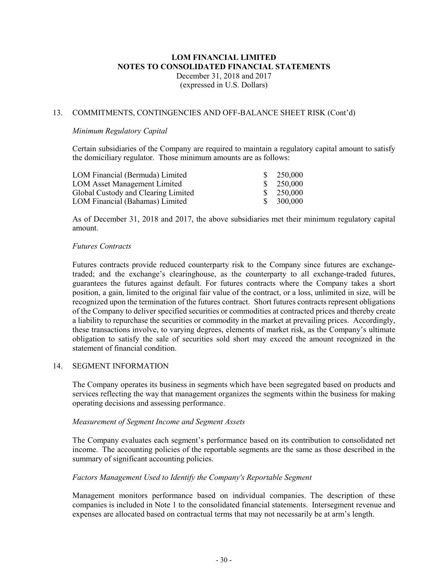# 13. COMMITMENTS, CONTINGENCIES AND OFF-BALANCE SHEET RISK (Cont'd)

# *Minimum Regulatory Capital*

Certain subsidiaries of the Company are required to maintain a regulatory capital amount to satisfy the domiciliary regulator. Those minimum amounts are as follows:

| LOM Financial (Bermuda) Limited     | 250,000   |
|-------------------------------------|-----------|
| <b>LOM Asset Management Limited</b> | 250,000   |
| Global Custody and Clearing Limited | \$250,000 |
| LOM Financial (Bahamas) Limited     | 300,000   |

As of December 31, 2018 and 2017, the above subsidiaries met their minimum regulatory capital amount.

# *Futures Contracts*

Futures contracts provide reduced counterparty risk to the Company since futures are exchangetraded; and the exchange's clearinghouse, as the counterparty to all exchange-traded futures, guarantees the futures against default. For futures contracts where the Company takes a short position, a gain, limited to the original fair value of the contract, or a loss, unlimited in size, will be recognized upon the termination of the futures contract. Short futures contracts represent obligations of the Company to deliver specified securities or commodities at contracted prices and thereby create a liability to repurchase the securities or commodity in the market at prevailing prices. Accordingly, these transactions involve, to varying degrees, elements of market risk, as the Company's ultimate obligation to satisfy the sale of securities sold short may exceed the amount recognized in the statement of financial condition.

# 14. SEGMENT INFORMATION

The Company operates its business in segments which have been segregated based on products and services reflecting the way that management organizes the segments within the business for making operating decisions and assessing performance.

# *Measurement of Segment Income and Segment Assets*

The Company evaluates each segment's performance based on its contribution to consolidated net income. The accounting policies of the reportable segments are the same as those described in the summary of significant accounting policies.

# *Factors Management Used to Identify the Company's Reportable Segment*

Management monitors performance based on individual companies. The description of these companies is included in Note 1 to the consolidated financial statements. Intersegment revenue and expenses are allocated based on contractual terms that may not necessarily be at arm's length.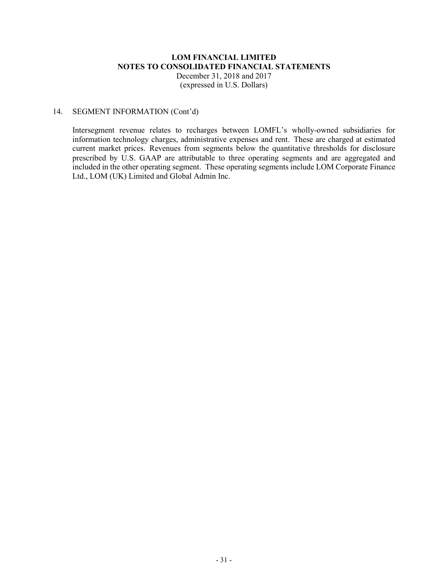# **LOM FINANCIAL LIMITED NOTES TO CONSOLIDATED FINANCIAL STATEMENTS**

December 31, 2018 and 2017 (expressed in U.S. Dollars)

# 14. SEGMENT INFORMATION (Cont'd)

Intersegment revenue relates to recharges between LOMFL's wholly-owned subsidiaries for information technology charges, administrative expenses and rent. These are charged at estimated current market prices. Revenues from segments below the quantitative thresholds for disclosure prescribed by U.S. GAAP are attributable to three operating segments and are aggregated and included in the other operating segment. These operating segments include LOM Corporate Finance Ltd., LOM (UK) Limited and Global Admin Inc.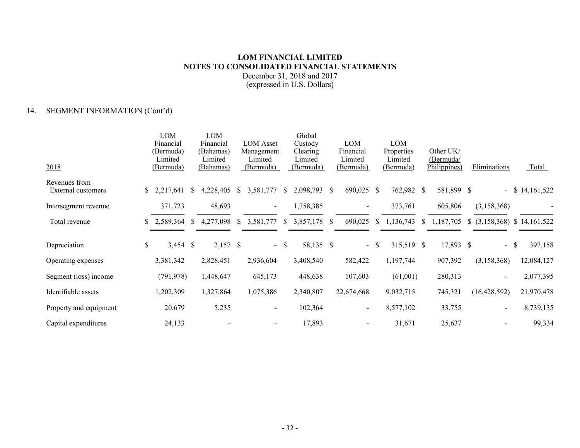# **LOM FINANCIAL LIMITED NOTES TO CONSOLIDATED FINANCIAL STATEMENTS** December 31, 2018 and 2017

(expressed in U.S. Dollars)

# 14. SEGMENT INFORMATION (Cont'd)

|                                     | LOM<br>Financial<br>(Bermuda)<br>Limited |              | LOM<br>Financial<br>(Bahamas)<br>Limited |              | <b>LOM</b> Asset<br>Management<br>Limited |              | Global<br>Custody<br>Clearing<br>Limited | <b>LOM</b><br>Financial<br>Limited |              | LOM<br>Properties<br>Limited |              | Other UK/<br>(Bermuda/ |                                |              |
|-------------------------------------|------------------------------------------|--------------|------------------------------------------|--------------|-------------------------------------------|--------------|------------------------------------------|------------------------------------|--------------|------------------------------|--------------|------------------------|--------------------------------|--------------|
| 2018                                | (Bermuda)                                |              | (Bahamas)                                |              | (Bermuda)                                 |              | (Bermuda)                                | (Bermuda)                          |              | (Bermuda)                    |              | Philippines)           | Eliminations                   | Total        |
| Revenues from<br>External customers | \$2,217,641                              | <sup>S</sup> | 4,228,405                                | <sup>S</sup> | 3,581,777                                 | <sup>S</sup> | 2,098,793 \$                             | 690,025                            | <sup>S</sup> | 762,982 \$                   |              | 581,899 \$             | $\blacksquare$                 | \$14,161,522 |
| Intersegment revenue                | 371,723                                  |              | 48,693                                   |              | $\sim$                                    |              | 1,758,385                                | $\sim$                             |              | 373,761                      |              | 605,806                | (3, 158, 368)                  |              |
| Total revenue                       | \$2,589,364                              | <sup>S</sup> | 4,277,098                                | <sup>S</sup> | 3,581,777                                 | <sup>S</sup> | 3,857,178 \$                             | 690,025                            | <sup>S</sup> | 1,136,743                    | <sup>S</sup> | 1,187,705              | $$$ (3,158,368) $$$ 14,161,522 |              |
| Depreciation                        | \$<br>$3,454$ \$                         |              | $2,157$ \$                               |              |                                           | $-$ \$       | 58,135 \$                                | $\sim$                             | <sup>S</sup> | 315,519 \$                   |              | 17,893 \$              | - \$                           | 397,158      |
| Operating expenses                  | 3,381,342                                |              | 2,828,451                                |              | 2,936,604                                 |              | 3,408,540                                | 582,422                            |              | 1,197,744                    |              | 907,392                | (3, 158, 368)                  | 12,084,127   |
| Segment (loss) income               | (791, 978)                               |              | 1,448,647                                |              | 645,173                                   |              | 448,638                                  | 107,603                            |              | (61,001)                     |              | 280,313                | $\blacksquare$                 | 2,077,395    |
| Identifiable assets                 | 1,202,309                                |              | 1,327,864                                |              | 1,075,386                                 |              | 2,340,807                                | 22,674,668                         |              | 9,032,715                    |              | 745,321                | (16, 428, 592)                 | 21,970,478   |
| Property and equipment              | 20,679                                   |              | 5,235                                    |              | $\blacksquare$                            |              | 102,364                                  | $\sim$                             |              | 8,577,102                    |              | 33,755                 | $\overline{\phantom{a}}$       | 8,739,135    |
| Capital expenditures                | 24,133                                   |              |                                          |              |                                           |              | 17,893                                   | $\blacksquare$                     |              | 31,671                       |              | 25,637                 |                                | 99,334       |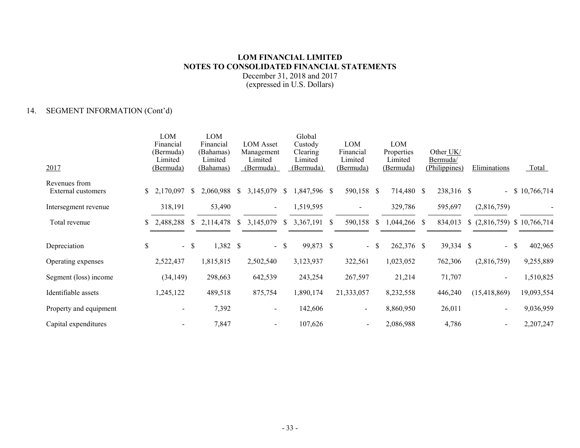# **LOM FINANCIAL LIMITED NOTES TO CONSOLIDATED FINANCIAL STATEMENTS** December 31, 2018 and 2017

(expressed in U.S. Dollars)

# 14. SEGMENT INFORMATION (Cont'd)

|                                     | LOM<br>Financial<br>(Bermuda) |              | LOM<br>Financial<br>(Bahamas) |              | <b>LOM</b> Asset<br>Management |              | Global<br>Custody<br>Clearing | <b>LOM</b><br>Financial  |              | LOM<br>Properties    |    | Other UK/                 |                            |                   |
|-------------------------------------|-------------------------------|--------------|-------------------------------|--------------|--------------------------------|--------------|-------------------------------|--------------------------|--------------|----------------------|----|---------------------------|----------------------------|-------------------|
| 2017                                | Limited<br>(Bermuda)          |              | Limited<br><u>(Bahamas)</u>   |              | Limited<br>(Bermuda)           |              | Limited<br>(Bermuda)          | Limited<br>(Bermuda)     |              | Limited<br>(Bermuda) |    | Bermuda/<br>(Philippines) | Eliminations               | Total             |
| Revenues from<br>External customers | \$2,170,097                   | <sup>S</sup> | 2,060,988                     | <sup>S</sup> | 3,145,079                      | <sup>S</sup> | 1,847,596 \$                  | 590,158 \$               |              | 714,480 \$           |    | 238,316 \$                |                            | $-$ \$ 10,766,714 |
| Intersegment revenue                | 318,191                       |              | 53,490                        |              | $\sim$                         |              | 1,519,595                     | $\overline{\phantom{a}}$ |              | 329,786              |    | 595,697                   | (2,816,759)                |                   |
| Total revenue                       | \$<br>2,488,288               | <sup>S</sup> | 2,114,478                     | <sup>S</sup> | 3,145,079                      | <sup>S</sup> | 3,367,191 \$                  | 590,158                  | <sup>S</sup> | 1,044,266            | -S | 834,013                   | \$(2,816,759) \$10,766,714 |                   |
| Depreciation                        | \$                            | $-$ \$       | 1,382 \$                      |              |                                | $-$ \$       | 99,873 \$                     | $\sim$ .                 | <sup>S</sup> | 262,376 \$           |    | 39,334 \$                 | $-$ \$                     | 402,965           |
| Operating expenses                  | 2,522,437                     |              | 1,815,815                     |              | 2,502,540                      |              | 3,123,937                     | 322,561                  |              | 1,023,052            |    | 762,306                   | (2,816,759)                | 9,255,889         |
| Segment (loss) income               | (34, 149)                     |              | 298,663                       |              | 642,539                        |              | 243,254                       | 267,597                  |              | 21,214               |    | 71,707                    |                            | 1,510,825         |
| Identifiable assets                 | 1,245,122                     |              | 489,518                       |              | 875,754                        |              | 1,890,174                     | 21,333,057               |              | 8,232,558            |    | 446,240                   | (15, 418, 869)             | 19,093,554        |
| Property and equipment              | $\blacksquare$                |              | 7,392                         |              | $\sim$                         |              | 142,606                       | $\overline{\phantom{a}}$ |              | 8,860,950            |    | 26,011                    | $\overline{\phantom{a}}$   | 9,036,959         |
| Capital expenditures                |                               |              | 7,847                         |              |                                |              | 107,626                       |                          |              | 2,086,988            |    | 4,786                     |                            | 2,207,247         |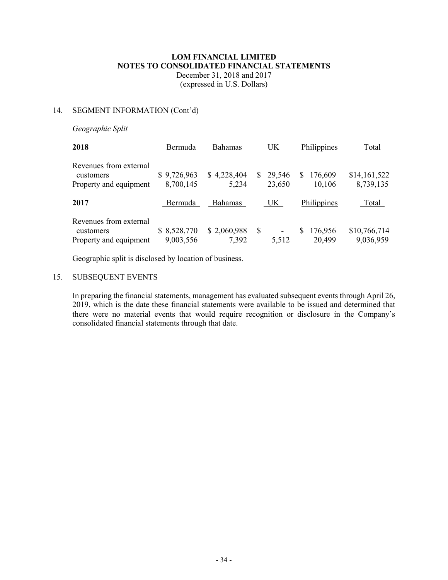# **LOM FINANCIAL LIMITED NOTES TO CONSOLIDATED FINANCIAL STATEMENTS**

December 31, 2018 and 2017 (expressed in U.S. Dollars)

# 14. SEGMENT INFORMATION (Cont'd)

*Geographic Split*

| 2018                                                          | Bermuda                  | <b>Bahamas</b>       | UK                                                 | Philippines             | Total                     |
|---------------------------------------------------------------|--------------------------|----------------------|----------------------------------------------------|-------------------------|---------------------------|
| Revenues from external<br>customers<br>Property and equipment | \$9,726,963<br>8,700,145 | \$4,228,404<br>5,234 | 29,546<br>S.<br>23,650                             | S.<br>176,609<br>10,106 | \$14,161,522<br>8,739,135 |
| 2017                                                          | Bermuda                  | <b>Bahamas</b>       | <b>UK</b>                                          | Philippines             | Total                     |
| Revenues from external<br>customers<br>Property and equipment | \$8,528,770<br>9,003,556 | \$2,060,988<br>7,392 | <sup>\$</sup><br>$\overline{\phantom{a}}$<br>5,512 | 176,956<br>S<br>20,499  | \$10,766,714<br>9,036,959 |

Geographic split is disclosed by location of business.

# 15. SUBSEQUENT EVENTS

In preparing the financial statements, management has evaluated subsequent events through April 26, 2019, which is the date these financial statements were available to be issued and determined that there were no material events that would require recognition or disclosure in the Company's consolidated financial statements through that date.